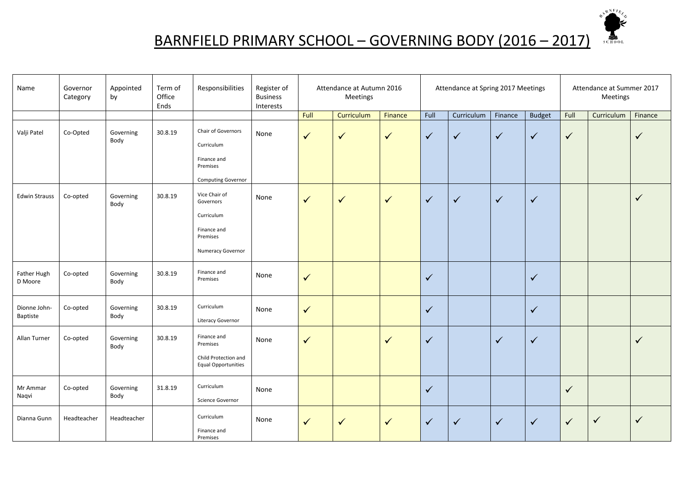

## BARNFIELD PRIMARY SCHOOL – GOVERNING BODY (2016 – 2017)

| Name                     | Governor<br>Category | Appointed<br>by   | Term of<br>Office<br>Ends | Responsibilities                                                                         | Register of<br><b>Business</b><br>Interests |              | Attendance at Autumn 2016<br>Meetings |              | Attendance at Spring 2017 Meetings |              | Attendance at Summer 2017<br>Meetings |               |              |              |              |
|--------------------------|----------------------|-------------------|---------------------------|------------------------------------------------------------------------------------------|---------------------------------------------|--------------|---------------------------------------|--------------|------------------------------------|--------------|---------------------------------------|---------------|--------------|--------------|--------------|
|                          |                      |                   |                           |                                                                                          |                                             | Full         | Curriculum                            | Finance      | Full                               | Curriculum   | Finance                               | <b>Budget</b> | Full         | Curriculum   | Finance      |
| Valji Patel              | Co-Opted             | Governing<br>Body | 30.8.19                   | Chair of Governors<br>Curriculum<br>Finance and<br>Premises<br><b>Computing Governor</b> | None                                        | $\checkmark$ | $\checkmark$                          | $\checkmark$ | $\checkmark$                       | $\checkmark$ | $\checkmark$                          | $\checkmark$  | $\checkmark$ |              | $\checkmark$ |
| <b>Edwin Strauss</b>     | Co-opted             | Governing<br>Body | 30.8.19                   | Vice Chair of<br>Governors<br>Curriculum<br>Finance and<br>Premises<br>Numeracy Governor | None                                        | ✓            | ✓                                     | $\checkmark$ | $\checkmark$                       | $\checkmark$ | $\checkmark$                          | $\sqrt{}$     |              |              | $\checkmark$ |
| Father Hugh<br>D Moore   | Co-opted             | Governing<br>Body | 30.8.19                   | Finance and<br>Premises                                                                  | None                                        | $\checkmark$ |                                       |              | $\checkmark$                       |              |                                       | $\checkmark$  |              |              |              |
| Dionne John-<br>Baptiste | Co-opted             | Governing<br>Body | 30.8.19                   | Curriculum<br>Literacy Governor                                                          | None                                        | $\checkmark$ |                                       |              | $\checkmark$                       |              |                                       | $\checkmark$  |              |              |              |
| Allan Turner             | Co-opted             | Governing<br>Body | 30.8.19                   | Finance and<br>Premises<br>Child Protection and<br><b>Equal Opportunities</b>            | None                                        | $\checkmark$ |                                       | $\checkmark$ | $\checkmark$                       |              | $\checkmark$                          | $\checkmark$  |              |              | $\checkmark$ |
| Mr Ammar<br>Naqvi        | Co-opted             | Governing<br>Body | 31.8.19                   | Curriculum<br>Science Governor                                                           | None                                        |              |                                       |              | $\checkmark$                       |              |                                       |               | $\checkmark$ |              |              |
| Dianna Gunn              | Headteacher          | Headteacher       |                           | Curriculum<br>Finance and<br>Premises                                                    | None                                        | ✓            | $\checkmark$                          | $\checkmark$ | $\checkmark$                       | $\checkmark$ | $\checkmark$                          | $\checkmark$  | $\checkmark$ | $\checkmark$ | $\checkmark$ |